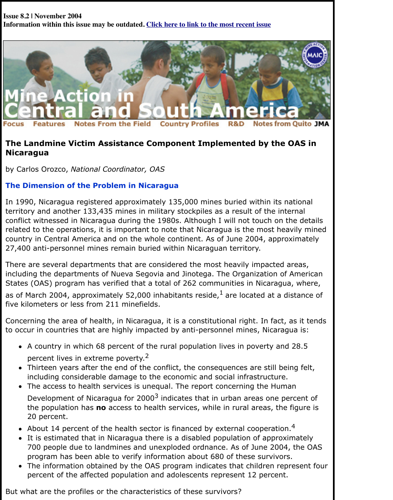

# **The Landmine Victim Assistance Component Implemented by the OAS in Nicaragua**

by Carlos Orozco, *National Coordinator, OAS*

### **The Dimension of the Problem in Nicaragua**

In 1990, Nicaragua registered approximately 135,000 mines buried within its national territory and another 133,435 mines in military stockpiles as a result of the internal conflict witnessed in Nicaragua during the 1980s. Although I will not touch on the details related to the operations, it is important to note that Nicaragua is the most heavily mined country in Central America and on the whole continent. As of June 2004, approximately 27,400 anti-personnel mines remain buried within Nicaraguan territory.

There are several departments that are considered the most heavily impacted areas, including the departments of Nueva Segovia and Jinotega. The Organization of American States (OAS) program has verified that a total of 262 communities in Nicaragua, where,

as of March 2004, approximately 52,000 inhabitants reside, $<sup>1</sup>$  are located at a distance of</sup> five kilometers or less from 211 minefields.

Concerning the area of health, in Nicaragua, it is a constitutional right. In fact, as it tends to occur in countries that are highly impacted by anti-personnel mines, Nicaragua is:

- A country in which 68 percent of the rural population lives in poverty and 28.5 percent lives in extreme poverty.<sup>2</sup>
- Thirteen years after the end of the conflict, the consequences are still being felt, including considerable damage to the economic and social infrastructure.
- The access to health services is unequal. The report concerning the Human Development of Nicaragua for  $2000<sup>3</sup>$  indicates that in urban areas one percent of the population has **no** access to health services, while in rural areas, the figure is 20 percent.
- About 14 percent of the health sector is financed by external cooperation.<sup>4</sup>
- It is estimated that in Nicaragua there is a disabled population of approximately 700 people due to landmines and unexploded ordnance. As of June 2004, the OAS program has been able to verify information about 680 of these survivors.
- The information obtained by the OAS program indicates that children represent four percent of the affected population and adolescents represent 12 percent.

But what are the profiles or the characteristics of these survivors?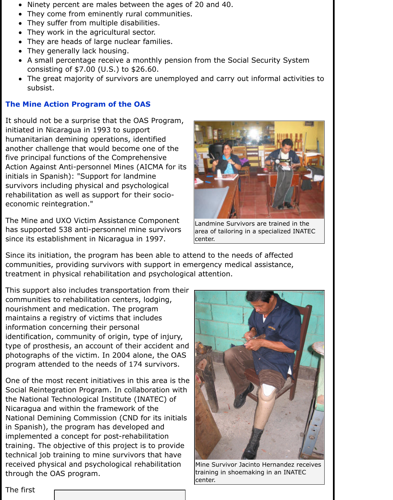- Ninety percent are males between the ages of 20 and 40.  $\bullet$
- They come from eminently rural communities.  $\bullet$
- They suffer from multiple disabilities.
- They work in the agricultural sector.
- They are heads of large nuclear families.
- They generally lack housing.
- A small percentage receive a monthly pension from the Social Security System consisting of \$7.00 (U.S.) to \$26.60.
- The great majority of survivors are unemployed and carry out informal activities to  $\bullet$ subsist.

## **The Mine Action Program of the OAS**

It should not be a surprise that the OAS Program, initiated in Nicaragua in 1993 to support humanitarian demining operations, identified another challenge that would become one of the five principal functions of the Comprehensive Action Against Anti-personnel Mines (AICMA for its initials in Spanish): "Support for landmine survivors including physical and psychological rehabilitation as well as support for their socioeconomic reintegration."

The Mine and UXO Victim Assistance Component has supported 538 anti-personnel mine survivors since its establishment in Nicaragua in 1997.



Landmine Survivors are trained in the area of tailoring in a specialized INATEC center.

Since its initiation, the program has been able to attend to the needs of affected communities, providing survivors with support in emergency medical assistance, treatment in physical rehabilitation and psychological attention.

This support also includes transportation from their communities to rehabilitation centers, lodging, nourishment and medication. The program maintains a registry of victims that includes information concerning their personal identification, community of origin, type of injury, type of prosthesis, an account of their accident and photographs of the victim. In 2004 alone, the OAS program attended to the needs of 174 survivors.

One of the most recent initiatives in this area is the Social Reintegration Program. In collaboration with the National Technological Institute (INATEC) of Nicaragua and within the framework of the National Demining Commission (CND for its initials in Spanish), the program has developed and implemented a concept for post-rehabilitation training. The objective of this project is to provide technical job training to mine survivors that have received physical and psychological rehabilitation through the OAS program.



Mine Survivor Jacinto Hernandez receives training in shoemaking in an INATEC center.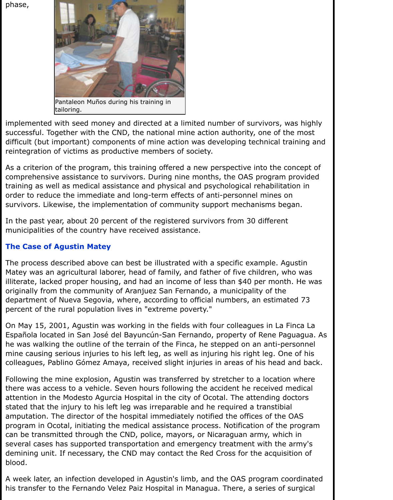phase,



implemented with seed money and directed at a limited number of survivors, was highly successful. Together with the CND, the national mine action authority, one of the most difficult (but important) components of mine action was developing technical training and reintegration of victims as productive members of society.

As a criterion of the program, this training offered a new perspective into the concept of comprehensive assistance to survivors. During nine months, the OAS program provided training as well as medical assistance and physical and psychological rehabilitation in order to reduce the immediate and long-term effects of anti-personnel mines on survivors. Likewise, the implementation of community support mechanisms began.

In the past year, about 20 percent of the registered survivors from 30 different municipalities of the country have received assistance.

## **The Case of Agustin Matey**

The process described above can best be illustrated with a specific example. Agustin Matey was an agricultural laborer, head of family, and father of five children, who was illiterate, lacked proper housing, and had an income of less than \$40 per month. He was originally from the community of Aranjuez San Fernando, a municipality of the department of Nueva Segovia, where, according to official numbers, an estimated 73 percent of the rural population lives in "extreme poverty."

On May 15, 2001, Agustin was working in the fields with four colleagues in La Finca La Española located in San José del Bayuncún-San Fernando, property of Rene Paguagua. As he was walking the outline of the terrain of the Finca, he stepped on an anti-personnel mine causing serious injuries to his left leg, as well as injuring his right leg. One of his colleagues, Pablino Gómez Amaya, received slight injuries in areas of his head and back.

Following the mine explosion, Agustin was transferred by stretcher to a location where there was access to a vehicle. Seven hours following the accident he received medical attention in the Modesto Agurcia Hospital in the city of Ocotal. The attending doctors stated that the injury to his left leg was irreparable and he required a transtibial amputation. The director of the hospital immediately notified the offices of the OAS program in Ocotal, initiating the medical assistance process. Notification of the program can be transmitted through the CND, police, mayors, or Nicaraguan army, which in several cases has supported transportation and emergency treatment with the army's demining unit. If necessary, the CND may contact the Red Cross for the acquisition of blood.

A week later, an infection developed in Agustin's limb, and the OAS program coordinated his transfer to the Fernando Velez Paiz Hospital in Managua. There, a series of surgical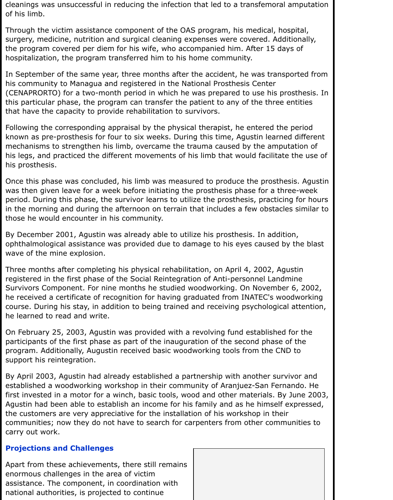cleanings was unsuccessful in reducing the infection that led to a transfemoral amputation of his limb.

Through the victim assistance component of the OAS program, his medical, hospital, surgery, medicine, nutrition and surgical cleaning expenses were covered. Additionally, the program covered per diem for his wife, who accompanied him. After 15 days of hospitalization, the program transferred him to his home community.

In September of the same year, three months after the accident, he was transported from his community to Managua and registered in the National Prosthesis Center (CENAPRORTO) for a two-month period in which he was prepared to use his prosthesis. In this particular phase, the program can transfer the patient to any of the three entities that have the capacity to provide rehabilitation to survivors.

Following the corresponding appraisal by the physical therapist, he entered the period known as pre-prosthesis for four to six weeks. During this time, Agustin learned different mechanisms to strengthen his limb, overcame the trauma caused by the amputation of his legs, and practiced the different movements of his limb that would facilitate the use of his prosthesis.

Once this phase was concluded, his limb was measured to produce the prosthesis. Agustin was then given leave for a week before initiating the prosthesis phase for a three-week period. During this phase, the survivor learns to utilize the prosthesis, practicing for hours in the morning and during the afternoon on terrain that includes a few obstacles similar to those he would encounter in his community.

By December 2001, Agustin was already able to utilize his prosthesis. In addition, ophthalmological assistance was provided due to damage to his eyes caused by the blast wave of the mine explosion.

Three months after completing his physical rehabilitation, on April 4, 2002, Agustin registered in the first phase of the Social Reintegration of Anti-personnel Landmine Survivors Component. For nine months he studied woodworking. On November 6, 2002, he received a certificate of recognition for having graduated from INATEC's woodworking course. During his stay, in addition to being trained and receiving psychological attention, he learned to read and write.

On February 25, 2003, Agustin was provided with a revolving fund established for the participants of the first phase as part of the inauguration of the second phase of the program. Additionally, Augustin received basic woodworking tools from the CND to support his reintegration.

By April 2003, Agustin had already established a partnership with another survivor and established a woodworking workshop in their community of Aranjuez-San Fernando. He first invested in a motor for a winch, basic tools, wood and other materials. By June 2003, Agustin had been able to establish an income for his family and as he himself expressed, the customers are very appreciative for the installation of his workshop in their communities; now they do not have to search for carpenters from other communities to carry out work.

#### **Projections and Challenges**

Apart from these achievements, there still remains enormous challenges in the area of victim assistance. The component, in coordination with national authorities, is projected to continue